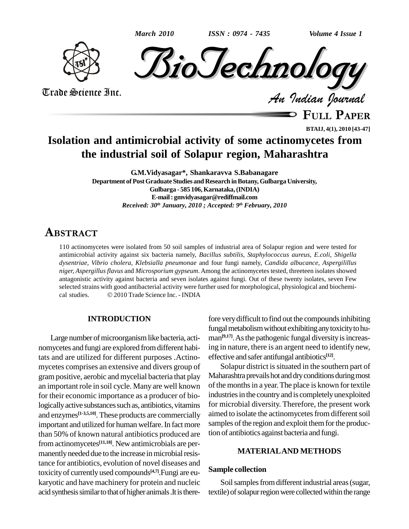$\dot{M}$   $\dot{J}$   $\odot$  *ISSN* : 0974 - 7435 Volume 4 Issue 1

Trade Science Inc. Trade Science Inc.

**FULL <sup>P</sup>APER**

**BTAIJ, 4(1), 2010 [43-47]**

# **Isolation and antimicrobial activity of some actinomycetes from the industrial soil of Solapur region, Maharashtra**

**G.M.Vidyasagar\*, Shankaravva S.Babanagare Department of PostGraduate Studies and Research inBotany, Gulbarga University, Gulbarga - 585 106,Karnataka,(INDIA) E-mail: [gmvidyasagar@rediffmail.com](mailto:gmvidyasagar@rediffmail.com)** *Received: 30 th January, 2010 ; Accepted: 9 th February, 2010*

## **ABSTRACT**

110 actinomycetes were isolated from 50 soil samples of industrial area of Solapur region and were tested for antimicrobial activity against six bacteria namely, *Bacillus subtilis, Staphylococcus aureus*, *E.coli, Shigella dysentriae, Vibrio cholera, Klebsialla pneumonae* and four fungi namely, *Candida albucance, Aspergilillus niger, Aspergillus flavus* and *Microsporium gypseum*. Among the actinomycetes tested, threeteen isolates showed antagonistic activity against bacteria and seven isolates against fungi. Out of these twenty isolates, seven Few selected strains with good antibacterial activity were further used for morphological, physiological and biochemi antagonistic activity against bacteria and seven isolates against fuselected strains with good antibacterial activity were further used fo<br>cal studies. © 2010 Trade Science Inc. - INDIA

## **INTRODUCTION**

Large number of microorganism like bacteria, actinomycetes and fungi are explored fromdifferent habitats and are utilized for different purposes .Actino mycetes comprises an extensive and divers group of gram positive, aerobic and mycelial bacteria that play an important role in soil cycle. Many are well known for their economic importance as a producer of biologically active substances such as, antibiotics, vitamins and enzymes **[1-3,5,10]**. These products are commercially important and utilized for human welfare. In fact more than 50% of known natural antibiotics produced are from actinomycetes **[11,18]**. New antimicrobials are per manently needed due to the increase in microbial resistance for antibiotics, evolution of novel diseases and toxicityof currentlyused compounds **[4,7]**.Fungi are eu karyotic and have machinery for protein and nucleic acid synthesis similar to that of higher animals. It is there-

fore very difficult to find out the compounds inhibiting fungal metabolism without exhibiting any toxicity to human<sup>[9,17]</sup>. As the pathogenic fungal diversity is increasing in nature, there is an argent need to identify new, effective and safer antifungal antibiotics **[12]**.

Solapur district is situated in the southern part of Maharashtra prevails hot and dry conditions during most of the months in a year. The place is known for textile industries in the country and is completely unexploited for microbial diversity. Therefore, the present work aimed to isolate the actinomycetes from different soil samples of the region and exploit them for the production of antibiotics against bacteria and fungi.

## **MATERIALAND METHODS**

## **Sample collection**

Soil samples from different industrial areas (sugar, textile) of solapur region were collected within the range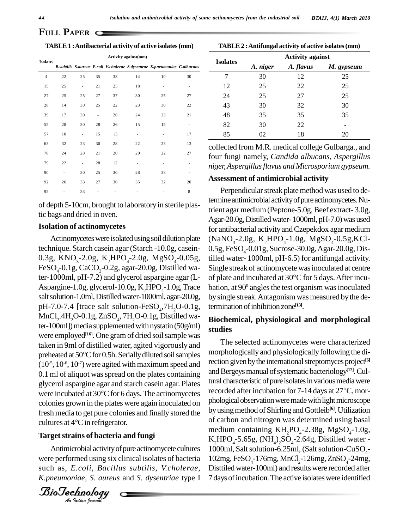**PAPER**  $\subset$ 

**TABLE1 :Antibacterial activity of active isolates(mm)**

| Isolates-      | Activity against(mm) |    |                |    |                          |                                                                           |    |  |  |
|----------------|----------------------|----|----------------|----|--------------------------|---------------------------------------------------------------------------|----|--|--|
|                |                      |    |                |    |                          | B.subtilis S.aureus E.coli V.cholerae S.dysentrae K.pneumoniae C.albucans |    |  |  |
| $\overline{4}$ | 22                   | 25 | 35             | 33 | 14                       | 10                                                                        | 30 |  |  |
| 15             | 25                   | ٠  | 21             | 25 | 18                       |                                                                           |    |  |  |
| 27             | 25                   | 25 | 27             | 37 | 30                       | 25                                                                        | 27 |  |  |
| 28             | 14                   | 30 | 25             | 22 | 23                       | 30                                                                        | 22 |  |  |
| 39             | 17                   | 30 | $\overline{a}$ | 20 | 24                       | 23                                                                        | 21 |  |  |
| 55             | 28                   | 30 | 28             | 26 | 15                       | 15                                                                        |    |  |  |
| 57             | 10                   | ٠  | 15             | 15 | ٠                        | ٠                                                                         | 17 |  |  |
| 63             | 32                   | 23 | 30             | 28 | 22                       | 23                                                                        | 13 |  |  |
| 78             | 24                   | 28 | 21             | 20 | 20                       | 22                                                                        | 27 |  |  |
| 79             | 22                   | ٠  | 28             | 12 | $\overline{\phantom{a}}$ |                                                                           |    |  |  |
| 90             |                      | 30 | 25             | 30 | 28                       | 33                                                                        |    |  |  |
| 92             | 26                   | 33 | 27             | 30 | 35                       | 32                                                                        | 20 |  |  |
| 95             |                      | 33 |                |    |                          |                                                                           | 8  |  |  |

tic bags and dried in oven.

#### **Isolation of actinomycetes**

cultures at  $4^{\circ}$ C in refrigerator. of depth 5-10cm, brought to laboratory in sterile plas-<br>tic bags and dried in oven.<br> **Isolation of actinomycetes**<br>
Actinomycetes<br>
Actinomycetes were isolated using soil dilution plate<br>
technique. Starch casein agar (Starc Actinomycetes were isolated using soil dilution plate technique. Starch casein agar (Starch -10.0g, casein- 0.5g, FeSO<sub>4</sub>-0.01g, Sucrose-30.0g, Agar-20.0g, Dis-0.3g, KNO<sub>3</sub>-2.0g, K<sub>2</sub>HPO<sub>4</sub>-2.0g, MgSO<sub>4</sub>-0.05g, FeSO<sub>4</sub>-0.1g, CaCO<sub>3</sub>-0.2g, agar-20.0g, Distilled water-1000ml, pH-7.2) and glycerol aspargine agar (L- of plate and incubated at 30°C for 5 days. After incu-Aspargine-1.0g, glycerol-10.0g,  $K_1HPO_1-1.0g$ , Trace salt solution-1.0ml, Distilled water-1000ml, agar-20.0g, pH-7.0-7.4 [trace salt solution-FeSO<sub>4</sub>,7H<sub>2</sub>O-0.1g, ter<br>MnCl<sub>2</sub>.4H<sub>2</sub>O-0.1g, ZnSO<sub>4</sub>, 7H<sub>2</sub>O-0.1g, Distilled wa-.4H<sub>2</sub>O-0.1g, ZnSO<sub>4</sub>, 7H<sub>2</sub>O-0.1g, Distilled water-100ml]) media supplemented with nystatin  $(50g/ml)$ were employed<sup>[16]</sup>. One gram of dried soil sample was<br>taken in 9ml of distilled water, agited vigorously and<br>preheated at 50°C for 0.5h. Serially diluted soil samples taken in 9ml of distilled water, agited vigorously and  $(10^{-5}, 10^{-6}, 10^{-7})$  were agited with maximum speed and rection 0.1 ml of aliquot was spread on the plates containing and Beault glycerol aspargine agar and starch casein agar. Plates tural chorrelated at 30°C for 6 days. The actinomycetes glycerol aspargine agar and starch casein agar. Plates<br>were incubated at 30<sup>o</sup>C for 6 days. The actinomycetes recorded after incubation for 7-14 days at 27<sup>o</sup>C, morcolonies grown in the plates were again inoculated on phology<br>fresh media to get pure colonies and finally stored the by usin<br>cultures at 4°C in refrigerator. of carb fresh media to get pure colonies and finally stored the

## **Targetstrains of bacteria and fungi**

Antimicrobial activity of pure actinomycete cultures 1000 were performed using six clinical isolates of bacteria  $102mg$ , FeSO<sub>4</sub>-176mg, MnCl<sub>2</sub>-126mg, ZnSO<sub>4</sub>-24mg, such as, *E.coli, Bacillus subtilis, V.cholerae, K.pneumoniae, S. aureus* and *S. dysentriae* type I

*Indian Journal*

|                 | TABLE 2 : Antifungal activity of active isolates (mm) |
|-----------------|-------------------------------------------------------|
| <b>Isolates</b> | <b>Activity against</b>                               |
|                 |                                                       |

|                 | ACTIVITY against |           |            |  |  |  |
|-----------------|------------------|-----------|------------|--|--|--|
| <b>Isolates</b> | A. niger         | A. flavus | M. gypseum |  |  |  |
| 7               | 30               | 12        | 25         |  |  |  |
| 12              | 25               | 22        | 25         |  |  |  |
| 24              | 25               | 27        | 25         |  |  |  |
| 43              | 30               | 32        | 30         |  |  |  |
| 48              | 35               | 35        | 35         |  |  |  |
| 82              | 30               | 22        |            |  |  |  |
| 85              | 02               | 18        | 20         |  |  |  |
|                 |                  |           |            |  |  |  |

collected from M.R. medical college Gulbarga., and four fungi namely, *Candida albucans, Aspergillus niger,Aspergillusflavus and Microsporium gypseum.*

## **Assessment of antimicrobial activity**

Perpendicular streak plate method was used to determine antimicrobial activity of pure actinomycetes. Nutrient agar medium (Peptone-5.0g, Beef extract- 3.0g, Agar-20.0g, Distilled water-1000ml, pH-7.0) was used for antibacterial activity and Czepekdox agar medium  $(NaNO<sub>3</sub>-2.0g, K<sub>2</sub>HPO<sub>4</sub>-1.0g, MgSO<sub>4</sub>-0.5g,KCl$ tilled water- 1000ml, pH-6.5) for antifungal activity.<br>Single streak of actinomycete was inoculated at centre<br>of plate and incubated at 30°C for 5 days. After incu-Single streak of actinomycete was inoculated at centre bation, at 90° angles the test organism was inoculated by single streak. Antagonism was measured by the determination ofinhibitionzone **[13]**.

## **Biochemical, physiological and morphological studies**

The selected actinomycetes were characterized morphologically and physiologically following the direction given by the international streptomyces project<sup>[6]</sup> and Bergeys manual of systematic bacteriology<sup>[17]</sup>. Cultural characteristic of pure isolates in various media were<br>recorded after incubation for 7-14 days at 27°C, mortural characteristic of pure isolates in various media were phological observation were made with light microscope by using method of Shirling and Gottleib<sup>[6]</sup>. Utilization of carbon and nitrogen was determined using basal medium containing  $KH_2PO_4$ -2.38g, MgSO<sub>4</sub>-1.0g,  $K_2HPO_4$ -5.65g, (NH<sub>4</sub>)<sub>2</sub>SO<sub>4</sub>-2.64g, Distilled water - $K_2HPO_4-5.65g$ ,  $(NH_4)_2SO_4-2.64g$ , Distilled water - 1000ml, Salt solution-6.25ml, (Salt solution-CuSO<sub>4</sub>-<br>102mg, FeSO<sub>4</sub>-176mg, MnCl<sub>2</sub>-126mg, ZnSO<sub>4</sub>-24mg,<br>Disttiled water-100ml) and results were recorded after 7 daysofincubation.The active isolateswere identified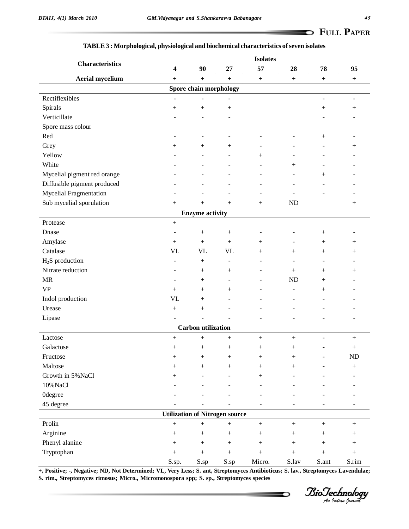### **TABLE3 : Morphological, physiological and biochemical characteristics ofseven isolates**

| <b>Characteristics</b>        | <b>Isolates</b>          |                           |                                       |                  |                  |                          |                                  |
|-------------------------------|--------------------------|---------------------------|---------------------------------------|------------------|------------------|--------------------------|----------------------------------|
|                               | $\boldsymbol{4}$         | 90                        | $27\,$                                | 57               | 28               | 78                       | 95                               |
| <b>Aerial mycelium</b>        | $\ddot{}$                | $\ddot{}$                 | $\ddot{}$                             | $\boldsymbol{+}$ | $\ddot{}$        | $\boldsymbol{+}$         | $\begin{array}{c} + \end{array}$ |
|                               |                          | Spore chain morphology    |                                       |                  |                  |                          |                                  |
| Rectiflexibles                |                          |                           |                                       |                  |                  | $\overline{\phantom{a}}$ | $\overline{\phantom{a}}$         |
| Spirals                       |                          |                           |                                       |                  |                  | $^{+}$                   | $\boldsymbol{+}$                 |
| Verticillate                  |                          |                           | $\overline{a}$                        |                  |                  |                          | ÷                                |
| Spore mass colour             |                          |                           |                                       |                  |                  |                          |                                  |
| Red                           |                          |                           | $\overline{\phantom{a}}$              |                  |                  | $^{+}$                   | $\overline{\phantom{a}}$         |
| Grey                          | $^{+}$                   | $^{+}$                    | $^{+}$                                |                  |                  |                          | $^{+}$                           |
| Yellow                        |                          |                           |                                       | $^{+}$           |                  |                          |                                  |
| White                         |                          |                           |                                       |                  |                  |                          |                                  |
| Mycelial pigment red orange   |                          |                           |                                       |                  |                  | $^{+}$                   |                                  |
| Diffusible pigment produced   |                          |                           |                                       |                  |                  |                          |                                  |
| <b>Mycelial Fragmentation</b> |                          |                           |                                       |                  |                  |                          | $\overline{a}$                   |
| Sub mycelial sporulation      | $^{+}$                   | $^{+}$                    | $^{+}$                                |                  | <b>ND</b>        |                          | $^{+}$                           |
|                               |                          | <b>Enzyme activity</b>    |                                       |                  |                  |                          |                                  |
| Protease                      |                          |                           |                                       |                  |                  |                          |                                  |
| Dnase                         | $\overline{\phantom{a}}$ | $\boldsymbol{+}$          | $\boldsymbol{+}$                      |                  |                  | $^{+}$                   |                                  |
| Amylase                       | $^{+}$                   | $^{+}$                    | $^{+}$                                | $^{+}$           |                  | $^{+}$                   | $^{+}$                           |
| Catalase                      | <b>VL</b>                | <b>VL</b>                 | <b>VL</b>                             | $^{+}$           | $^{+}$           | $^{+}$                   | $^{+}$                           |
| $H2S$ production              | $\blacksquare$           | $^{+}$                    | $\overline{\phantom{a}}$              | ٠                | $\blacksquare$   | $\overline{\phantom{a}}$ | $\blacksquare$                   |
| Nitrate reduction             |                          |                           | $^{+}$                                |                  | $^{+}$           | $^{+}$                   | $^{+}$                           |
| <b>MR</b>                     |                          | $^{+}$                    | $\overline{a}$                        |                  | <b>ND</b>        | $^{+}$                   |                                  |
| <b>VP</b>                     | $^{+}$                   |                           | $^{+}$                                |                  |                  | $^{+}$                   |                                  |
| Indol production              | <b>VL</b>                | $^{+}$                    | $\overline{\phantom{a}}$              |                  |                  |                          |                                  |
| Urease                        |                          |                           |                                       |                  |                  |                          |                                  |
| Lipase                        |                          |                           |                                       | ٠                | $\overline{a}$   | $\blacksquare$           | ۰                                |
|                               |                          | <b>Carbon</b> utilization |                                       |                  |                  |                          |                                  |
| Lactose                       |                          |                           |                                       |                  |                  |                          |                                  |
|                               |                          | $+$                       | $\boldsymbol{+}$                      | $\boldsymbol{+}$ |                  | ÷,                       |                                  |
| Galactose<br>Fructose         |                          |                           |                                       |                  |                  | $\overline{a}$           | $^{+}$                           |
|                               |                          | $\boldsymbol{+}$          |                                       |                  |                  | $\overline{\phantom{a}}$ | ${\rm ND}$                       |
| Maltose                       | $^{+}$                   | $+$                       | $^{+}$                                | $^{+}$           | $^{+}$           | $\overline{a}$           |                                  |
| Growth in 5% NaCl             |                          |                           | $\overline{a}$                        | $^{+}$           |                  |                          |                                  |
| 10%NaCl                       |                          |                           | $\overline{a}$                        |                  |                  |                          | ÷,                               |
| <b>Odegree</b>                |                          |                           |                                       |                  |                  |                          | $\overline{a}$                   |
| 45 degree                     |                          |                           |                                       |                  |                  | $\sim$                   | $\overline{a}$                   |
|                               |                          |                           | <b>Utilization of Nitrogen source</b> |                  |                  |                          |                                  |
| Prolin                        | $\boldsymbol{+}$         | $\boldsymbol{+}$          | $\boldsymbol{+}$                      | $\boldsymbol{+}$ | $\boldsymbol{+}$ | $\boldsymbol{+}$         | $\boldsymbol{+}$                 |
| Arginine                      |                          | $\boldsymbol{+}$          | $\boldsymbol{+}$                      | $\boldsymbol{+}$ | $\boldsymbol{+}$ | $\boldsymbol{+}$         | $+$                              |
| Phenyl alanine                |                          | $\boldsymbol{+}$          | $\! + \!$                             |                  | $+$              | $\boldsymbol{+}$         | $+$                              |
| Tryptophan                    | $\! + \!$                | $\boldsymbol{+}$          | $\! + \!$                             | $+$              | $\! +$           | $\! +$                   | $^{+}$                           |
|                               | S.sp.                    | S.sp                      | S.sp                                  | Micro.           | S.lav            | S.ant                    | S.rim                            |

+, Positive; -, Negative; ND, Not Determined; VL, Very Less; S. ant, Streptomyces Antibioticus; S. lav., Streptomyces Lavendulae; **S. rim., Streptomyces rimosus; Micro., Micromonospora spp; S. sp., Streptomyces species**

*Indian Journal*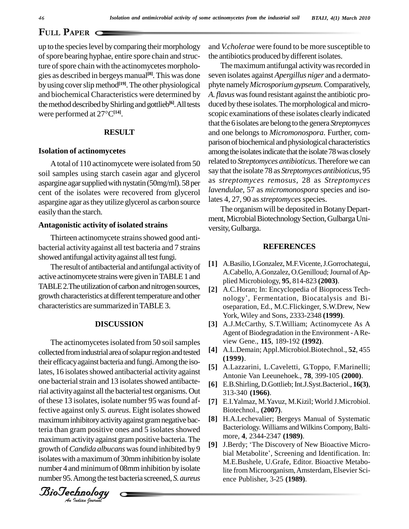## **P**<sub>APER</sub>

of spore bearing hyphae, entire spore chain and structure of spore chain with the actinomycetes morphologies as described in bergeys manual **[8]**. This was done by using cover slip method<sup>[19]</sup>. The other physiological ph and biochemical Characteristics were determined by A. *flavt*<br>the method described by Shirling and gottlieb<sup>[6]</sup>. All tests duced by<br>were performed at  $27^{\circ}C^{[14]}$ . the method described by Shirling and gottlieb<sup>[6]</sup>. All tests duce

## **RESULT**

### **Isolation of actinomycetes**

Atotal of 110 actinomycete were isolated from 50 soil samples using starch casein agar and glycerol aspargine agar supplied with nystatin (50mg/ml). 58 per cent of the isolates were recovered from glycerol aspargine agar astheyutilize glycerol as carbon source easily than the starch.

### **Antagonistic activity of isolated strains**

Thirteen actinomycete strains showed good antibacterial activityagainst all test bacteria and 7 strains showed antifungal activity against all test fungi.

The result of antibacterial and antifungal activity of active actinomycete strainswere given inTABLE1 and TABLE 2. The utilization of carbon and nitrogen sources, growth characteristics at different temperature and other characteristics are summarized inTABLE3.

## **DISCUSSION**

Biotechive against only 5. *tureus*. Eight isolates showed<br>maximum inhibitory activity against gram negative bac-Anaximum was vity against grain positive succession. The growth of *Candida albucans* was found inhibited by 9 up to the species level by comparing their morphology and  $V_{\text{c}}$  core beaming hyphae, entires force their and struct- the anti-<br>ture of spore bank with the actionomycetes morpholo-<br>fively sumportion interpresion and tr The actinomycetes isolated from 50 soil samples collected from industrial area of solapur region and tested their efficacy against bacteria and fungi. Among the isolates, 16 isolates showed antibacterial activity against one bacterial strain and 13 isolates showed antibacterial activity against all the bacterial test organisms. Out of these 13 isolates, isolate number 95 wasfound affective against only *S. aureus*. Eight isolates showed teria than gram positive ones and 5 isolates showed maximum activity against gram positive bacteria. The growth of Canada about as was found inhibited by bial Metabolite', Screening and Identification. In:<br>isolates with a maximum of 30mm inhibition by isolate M F Bushele, H Grafe, Editor, Bioactive Metabonumber 4 and minimum of 08mm inhibition by isolate number 95.Among the test bacteria screened, *S.aureus*

*Indian Journal*

and *V.cholerae* were found to be more susceptible to the antibiotics produced by different isolates.

The maximum antifungal activity was recorded in seven isolates against *Apergillus niger* and a dermato phyte namely*Microsporiumgypseum.*Comparatively, *A. flavus* wasfound resistant against the antibiotic pro duced by these isolates. The morphological and microscopic examinations of these isolates clearly indicated thatthe 6isolates are belong to the genera *Streptomyces* and one belongs to *Micromonospora*. Further, com parison of biochemical and physiological characteristics among the isolates indicate that the isolate 78 was closely related to *Streptomyces antibioticus*.Thereforewe can say that the isolate 78 as *Streptomyces antibioticus*, 95 as *streptomyces remosus*, 28 as *Streptomyces lavendulae*, 57 as *micromonospora* species and isolates 4, 27, 90 as *streptomyces* species.

The organism will be deposited in Botany Department, Microbial Biotechnology Section, Gulbarga University,Gulbarga.

## **REFERENCES**

- **[1]** A.Basilio,I.Gonzalez, M.F.Vicente,J.Gorrochategui, A.Cabello, A.Gonzalez, O.Genilloud; Journal of Applied Microbiology, **95**, 814-823 **(2003)**.
- **[2]** A.C.Horan; In: Encyclopedia of Bioprocess Tech plied Microbiology, **95**, 814-823 (**2003**).<br>A.C.Horan; In: Encyclopedia of Bioprocess Tech-<br>nology', Fermentation, Biocatalysis and Bioseparation, Ed., M.C.Flickinger, S.W.Drew, New York, Wiley and Sons, 2333-2348 **(1999)**.
- **[3]** A.J.McCarthy, S.T.William; Actinomycete As A Agent of Biodegradation in the Environment -ARe view Gene., **115**, 189-192 **(1992)**.
- **[4]** A.L.Demain; Appl.Microbiol.Biotechnol., **52**, 455 **(1999)**.
- **[5]** A.Lazzarini, L.Caveletti, G.Toppo, F.Marinelli; Antonie Van Leeunehoek., **78**, 399-105 **(2000)**.
- **[6]** E.B.Shirling, D.Gottlieb; Int.J.Syst.Bacteriol., **16(3)**, 313-340 **(1966)**.
- **[7]** E.I.Yalmaz, M.Yavuz, M.Kizil; World J.Microbiol. Biotechnol., **(2007)**.
- **[8]** H.A.Lechevalier; Bergeys Manual of Systematic Bacteriology. Williams and Wilkins Compony, Baltimore, **4**, 2344-2347 **(1989)**. Bacteriology. Williams and Wilkins Compony, Baltimore, 4, 2344-2347 (1989).<br>[9] J.Berdy; 'The Discovery of New Bioactive Micro-
- more, **4**, 2344-2347 (**1989**).<br>J.Berdy; 'The Discovery of New Bioactive Micro-<br>bial Metabolite', Screening and Identification. In: M.E.Bushele, U.Grafe, Editor. Bioactive Metabolite from Microorganism,Amsterdam, Elsevier Sci ence Publisher, 3-25 **(1989)**.